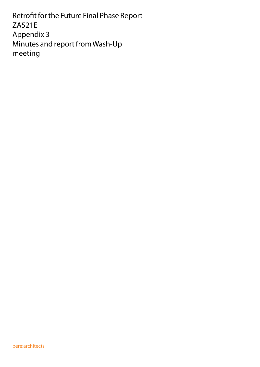Retrofit for the Future Final Phase Report ZA521E Appendix 3 Minutes and report from Wash-Up meeting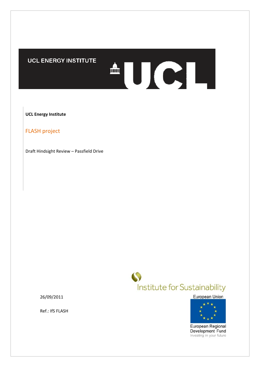# UCL ENERGY INSTITUTE

**UCL Energy Institute**

FLASH project

Draft Hindsight Review – Passfield Drive



<sup>A</sup>UCL

European Union



European Regional Development Fund Investing in your future

26/09/2011

Ref.: IfS FLASH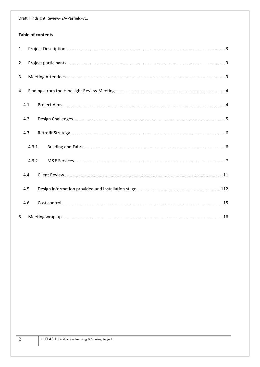## **Table of contents**

| $\mathbf{1}$   |       |  |  |  |
|----------------|-------|--|--|--|
| $2^{\circ}$    |       |  |  |  |
| $\overline{3}$ |       |  |  |  |
| $\overline{4}$ |       |  |  |  |
|                | 4.1   |  |  |  |
|                | 4.2   |  |  |  |
|                | 4.3   |  |  |  |
|                | 4.3.1 |  |  |  |
|                | 4.3.2 |  |  |  |
|                | 4.4   |  |  |  |
|                | 4.5   |  |  |  |
|                | 4.6   |  |  |  |
| 5              |       |  |  |  |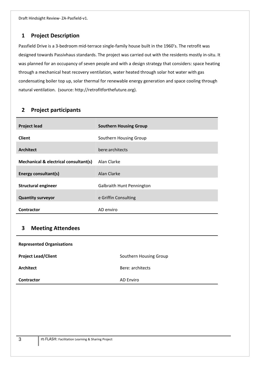# **1 Project Description**

Passfield Drive is a 3‐bedroom mid‐terrace single‐family house built in the 1960's. The retrofit was designed towards Passivhaus standards. The project was carried out with the residents mostly in‐situ. It was planned for an occupancy of seven people and with a design strategy that considers: space heating through a mechanical heat recovery ventilation, water heated through solar hot water with gas condensating boiler top up, solar thermal for renewable energy generation and space cooling through natural ventilation. (source: http://retrofitforthefuture.org).

# **2 Project participants**

| <b>Project lead</b>                   | <b>Southern Housing Group</b>    |
|---------------------------------------|----------------------------------|
| <b>Client</b>                         | Southern Housing Group           |
| <b>Architect</b>                      | bere:architects                  |
| Mechanical & electrical consultant(s) | Alan Clarke                      |
| Energy consultant(s)                  | Alan Clarke                      |
| <b>Structural engineer</b>            | <b>Galbraith Hunt Pennington</b> |
| <b>Quantity surveyor</b>              | e Griffin Consulting             |
| Contractor                            | AD enviro                        |

# **3 Meeting Attendees**

| <b>Represented Organisations</b> |                        |  |  |  |
|----------------------------------|------------------------|--|--|--|
| <b>Project Lead/Client</b>       | Southern Housing Group |  |  |  |
| Architect                        | Bere: architects       |  |  |  |
| <b>Contractor</b>                | <b>AD Enviro</b>       |  |  |  |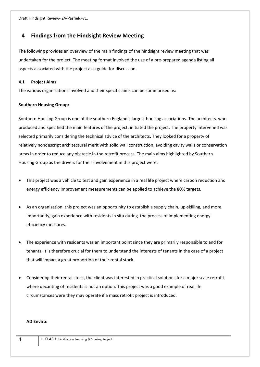# **4 Findings from the Hindsight Review Meeting**

The following provides an overview of the main findings of the hindsight review meeting that was undertaken for the project. The meeting format involved the use of a pre‐prepared agenda listing all aspects associated with the project as a guide for discussion.

#### **4.1 Project Aims**

The various organisations involved and their specific aims can be summarised as:

#### **Southern Housing Group:**

Southern Housing Group is one of the southern England's largest housing associations. The architects, who produced and specified the main features of the project, initiated the project. The property intervened was selected primarily considering the technical advice of the architects. They looked for a property of relatively nondescript architectural merit with solid wall construction, avoiding cavity walls or conservation areas in order to reduce any obstacle in the retrofit process. The main aims highlighted by Southern Housing Group as the drivers for their involvement in this project were:

- This project was a vehicle to test and gain experience in a real life project where carbon reduction and energy efficiency improvement measurements can be applied to achieve the 80% targets.
- As an organisation, this project was an opportunity to establish a supply chain, up‐skilling, and more importantly, gain experience with residents in situ during the process of implementing energy efficiency measures.
- The experience with residents was an important point since they are primarily responsible to and for tenants. It is therefore crucial for them to understand the interests of tenants in the case of a project that will impact a great proportion of their rental stock.
- Considering their rental stock, the client was interested in practical solutions for a major scale retrofit where decanting of residents is not an option. This project was a good example of real life circumstances were they may operate if a mass retrofit project is introduced.

#### **AD Enviro:**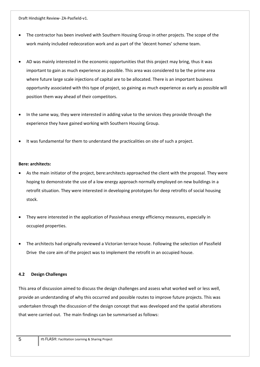- The contractor has been involved with Southern Housing Group in other projects. The scope of the work mainly included redecoration work and as part of the 'decent homes' scheme team.
- AD was mainly interested in the economic opportunities that this project may bring, thus it was important to gain as much experience as possible. This area was considered to be the prime area where future large scale injections of capital are to be allocated. There is an important business opportunity associated with this type of project, so gaining as much experience as early as possible will position them way ahead of their competitors.
- In the same way, they were interested in adding value to the services they provide through the experience they have gained working with Southern Housing Group.
- It was fundamental for them to understand the practicalities on site of such a project.

#### **Bere: architects:**

- As the main initiator of the project, bere:architects approached the client with the proposal. They were hoping to demonstrate the use of a low energy approach normally employed on new buildings in a retrofit situation. They were interested in developing prototypes for deep retrofits of social housing stock.
- They were interested in the application of Passivhaus energy efficiency measures, especially in occupied properties.
- The architects had originally reviewed a Victorian terrace house. Following the selection of Passfield Drive the core aim of the project was to implement the retrofit in an occupied house.

#### **4.2 Design Challenges**

This area of discussion aimed to discuss the design challenges and assess what worked well or less well, provide an understanding of why this occurred and possible routes to improve future projects. This was undertaken through the discussion of the design concept that was developed and the spatial alterations that were carried out. The main findings can be summarised as follows: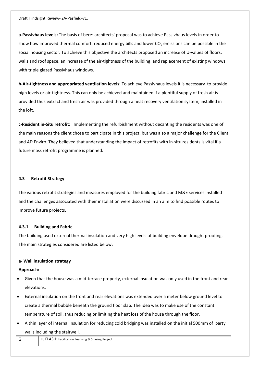**a‐Passivhaus levels:** The basis of bere: architects' proposal was to achieve Passivhaus levels in order to show how improved thermal comfort, reduced energy bills and lower  $CO<sub>2</sub>$  emissions can be possible in the social housing sector. To achieve this objective the architects proposed an increase of U-values of floors, walls and roof space, an increase of the air-tightness of the building, and replacement of existing windows with triple glazed Passivhaus windows.

**b‐Air‐tightness and appropriated ventilation levels:** To achieve Passivhaus levels it is necessary to provide high levels or air-tightness. This can only be achieved and maintained if a plentiful supply of fresh air is provided thus extract and fresh air was provided through a heat recovery ventilation system, installed in the loft.

**c‐Resident in‐Situ retrofit:**  Implementing the refurbishment without decanting the residents was one of the main reasons the client chose to participate in this project, but was also a major challenge for the Client and AD Enviro. They believed that understanding the impact of retrofits with in-situ residents is vital if a future mass retrofit programme is planned.

#### **4.3 Retrofit Strategy**

The various retrofit strategies and measures employed for the building fabric and M&E services installed and the challenges associated with their installation were discussed in an aim to find possible routes to improve future projects.

#### **4.3.1 Building and Fabric**

The building used external thermal insulation and very high levels of building envelope draught proofing. The main strategies considered are listed below:

#### **a‐ Wall insulation strategy**

#### **Approach:**

- Given that the house was a mid‐terrace property, external insulation was only used in the front and rear elevations.
- External insulation on the front and rear elevations was extended over a meter below ground level to create a thermal bubble beneath the ground floor slab. The idea was to make use of the constant temperature of soil, thus reducing or limiting the heat loss of the house through the floor.
- A thin layer of internal insulation for reducing cold bridging was installed on the initial 500mm of party walls including the stairwell.

 $\overline{6}$  IfS FLASH: Facilitation Learning & Sharing Project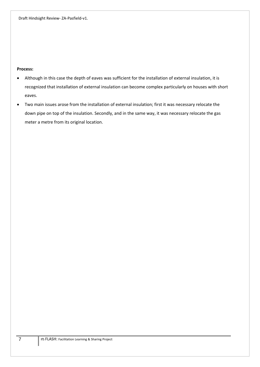#### **Process:**

- Although in this case the depth of eaves was sufficient for the installation of external insulation, it is recognized that installation of external insulation can become complex particularly on houses with short eaves.
- Two main issues arose from the installation of external insulation; first it was necessary relocate the down pipe on top of the insulation. Secondly, and in the same way, it was necessary relocate the gas meter a metre from its original location.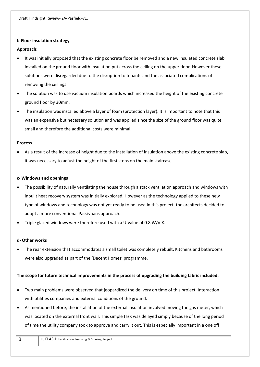#### **b‐Floor insulation strategy**

### **Approach:**

- It was initially proposed that the existing concrete floor be removed and a new insulated concrete slab installed on the ground floor with insulation put across the ceiling on the upper floor. However these solutions were disregarded due to the disruption to tenants and the associated complications of removing the ceilings.
- The solution was to use vacuum insulation boards which increased the height of the existing concrete ground floor by 30mm.
- The insulation was installed above a layer of foam (protection layer). It is important to note that this was an expensive but necessary solution and was applied since the size of the ground floor was quite small and therefore the additional costs were minimal.

#### **Process**

 As a result of the increase of height due to the installation of insulation above the existing concrete slab, it was necessary to adjust the height of the first steps on the main staircase.

#### **c‐ Windows and openings**

- The possibility of naturally ventilating the house through a stack ventilation approach and windows with inbuilt heat recovery system was initially explored. However as the technology applied to these new type of windows and technology was not yet ready to be used in this project, the architects decided to adopt a more conventional Passivhaus approach.
- Triple glazed windows were therefore used with a U‐value of 0.8 W/mK.

#### **d‐ Other works**

 The rear extension that accommodates a small toilet was completely rebuilt. Kitchens and bathrooms were also upgraded as part of the 'Decent Homes' programme.

### **The scope for future technical improvements in the process of upgrading the building fabric included:**

- Two main problems were observed that jeopardized the delivery on time of this project. Interaction with utilities companies and external conditions of the ground.
- As mentioned before, the installation of the external insulation involved moving the gas meter, which was located on the external front wall. This simple task was delayed simply because of the long period of time the utility company took to approve and carry it out. This is especially important in a one off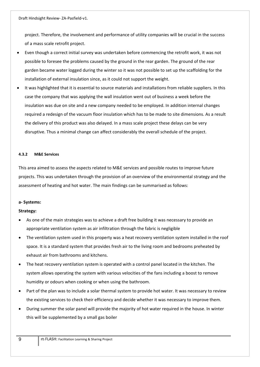project. Therefore, the involvement and performance of utility companies will be crucial in the success of a mass scale retrofit project.

- Even though a correct initial survey was undertaken before commencing the retrofit work, it was not possible to foresee the problems caused by the ground in the rear garden. The ground of the rear garden became water logged during the winter so it was not possible to set up the scaffolding for the installation of external insulation since, as it could not support the weight.
- It was highlighted that it is essential to source materials and installations from reliable suppliers. In this case the company that was applying the wall insulation went out of business a week before the insulation was due on site and a new company needed to be employed. In addition internal changes required a redesign of the vacuum floor insulation which has to be made to site dimensions. As a result the delivery of this product was also delayed. In a mass scale project these delays can be very disruptive. Thus a minimal change can affect considerably the overall schedule of the project.

#### **4.3.2 M&E Services**

This area aimed to assess the aspects related to M&E services and possible routes to improve future projects. This was undertaken through the provision of an overview of the environmental strategy and the assessment of heating and hot water. The main findings can be summarised as follows:

#### **a‐ Systems:**

#### **Strategy:**

- As one of the main strategies was to achieve a draft free building it was necessary to provide an appropriate ventilation system as air infiltration through the fabric is negligible
- The ventilation system used in this property was a heat recovery ventilation system installed in the roof space. It is a standard system that provides fresh air to the living room and bedrooms preheated by exhaust air from bathrooms and kitchens.
- The heat recovery ventilation system is operated with a control panel located in the kitchen. The system allows operating the system with various velocities of the fans including a boost to remove humidity or odours when cooking or when using the bathroom.
- Part of the plan was to include a solar thermal system to provide hot water. It was necessary to review the existing services to check their efficiency and decide whether it was necessary to improve them.
- During summer the solar panel will provide the majority of hot water required in the house. In winter this will be supplemented by a small gas boiler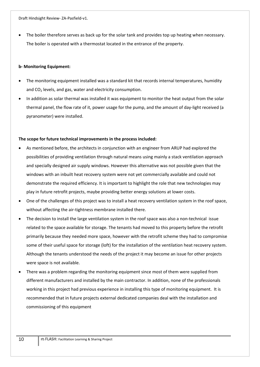The boiler therefore serves as back up for the solar tank and provides top up heating when necessary. The boiler is operated with a thermostat located in the entrance of the property.

#### **b‐ Monitoring Equipment:**

- The monitoring equipment installed was a standard kit that records internal temperatures, humidity and  $CO<sub>2</sub>$  levels, and gas, water and electricity consumption.
- In addition as solar thermal was installed it was equipment to monitor the heat output from the solar thermal panel, the flow rate of it, power usage for the pump, and the amount of day‐light received (a pyranometer) were installed.

#### **The scope for future technical improvements in the process included:**

- As mentioned before, the architects in conjunction with an engineer from ARUP had explored the possibilities of providing ventilation through natural means using mainly a stack ventilation approach and specially designed air supply windows. However this alternative was not possible given that the windows with an inbuilt heat recovery system were not yet commercially available and could not demonstrate the required efficiency. It is important to highlight the role that new technologies may play in future retrofit projects, maybe providing better energy solutions at lower costs.
- One of the challenges of this project was to install a heat recovery ventilation system in the roof space, without affecting the air-tightness membrane installed there.
- The decision to install the large ventilation system in the roof space was also a non-technical issue related to the space available for storage. The tenants had moved to this property before the retrofit primarily because they needed more space, however with the retrofit scheme they had to compromise some of their useful space for storage (loft) for the installation of the ventilation heat recovery system. Although the tenants understood the needs of the project it may become an issue for other projects were space is not available.
- There was a problem regarding the monitoring equipment since most of them were supplied from different manufacturers and installed by the main contractor. In addition, none of the professionals working in this project had previous experience in installing this type of monitoring equipment. It is recommended that in future projects external dedicated companies deal with the installation and commissioning of this equipment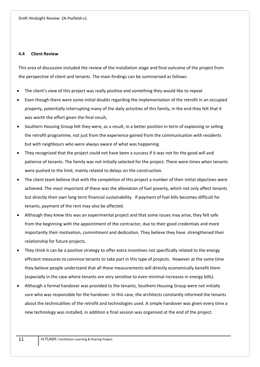#### **4.4 Client Review**

This area of discussion included the review of the installation stage and final outcome of the project from the perspective of client and tenants. The main findings can be summarised as follows:

- The client's view of this project was really positive and something they would like to repeat
- Even though there were some initial doubts regarding the implementation of the retrofit in an occupied property, potentially interrupting many of the daily activities of this family, in the end they felt that it was worth the effort given the final result,
- Southern Housing Group felt they were, as a result, in a better position in term of explaining or selling the retrofit programme, not just from the experience gained from the communication with residents but with neighbours who were always aware of what was happening.
- They recognized that the project could not have been a success if it was not for the good will and patience of tenants. The family was not initially selected for the project. There were times when tenants were pushed to the limit, mainly related to delays on the construction.
- The client team believe that with the completion of this project a number of their initial objectives were achieved. The most important of these was the alleviation of fuel poverty, which not only affect tenants but directly their own long term financial sustainability. If payment of fuel bills becomes difficult for tenants, payment of the rent may also be affected.
- Although they knew this was an experimental project and that some issues may arise, they felt safe from the beginning with the appointment of the contractor, due to their good credentials and more importantly their motivation, commitment and dedication. They believe they have strengthened their relationship for future projects.
- They think it can be a positive strategy to offer extra incentives not specifically related to the energy efficient measures to convince tenants to take part in this type of projects. However at the same time they believe people understand that all these measurements will directly economically benefit them (especially in the case where tenants are very sensitive to even minimal increases in energy bills).
- Although a formal handover was provided to the tenants, Southern Housing Group were not initially sure who was responsible for the handover. In this case, the architects constantly informed the tenants about the technicalities of the retrofit and technologies used. A simple handover was given every time a new technology was installed, in addition a final session was organised at the end of the project.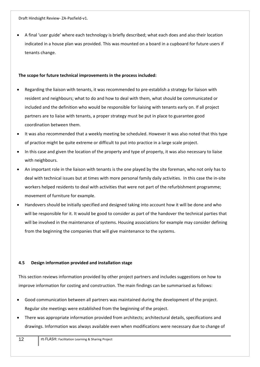A final 'user guide' where each technology is briefly described; what each does and also their location indicated in a house plan was provided. This was mounted on a board in a cupboard for future users if tenants change.

#### **The scope for future technical improvements in the process included:**

- Regarding the liaison with tenants, it was recommended to pre‐establish a strategy for liaison with resident and neighbours; what to do and how to deal with them, what should be communicated or included and the definition who would be responsible for liaising with tenants early on. If all project partners are to liaise with tenants, a proper strategy must be put in place to guarantee good coordination between them.
- It was also recommended that a weekly meeting be scheduled. However it was also noted that this type of practice might be quite extreme or difficult to put into practice in a large scale project.
- In this case and given the location of the property and type of property, it was also necessary to liaise with neighbours.
- An important role in the liaison with tenants is the one played by the site foreman, who not only has to deal with technical issues but at times with more personal family daily activities. In this case the in‐site workers helped residents to deal with activities that were not part of the refurbishment programme; movement of furniture for example.
- Handovers should be initially specified and designed taking into account how it will be done and who will be responsible for it. It would be good to consider as part of the handover the technical parties that will be involved in the maintenance of systems. Housing associations for example may consider defining from the beginning the companies that will give maintenance to the systems.

### **4.5 Design information provided and installation stage**

This section reviews information provided by other project partners and includes suggestions on how to improve information for costing and construction. The main findings can be summarised as follows:

- Good communication between all partners was maintained during the development of the project. Regular site meetings were established from the beginning of the project.
- There was appropriate information provided from architects; architectural details, specifications and drawings. Information was always available even when modifications were necessary due to change of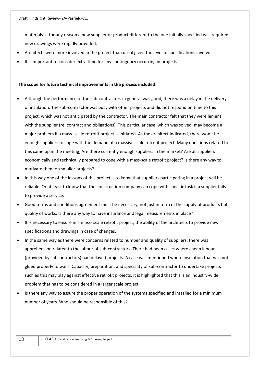materials. If for any reason a new supplier or product different to the one initially specified was required new drawings were rapidly provided.

- Architects were more involved in the project than usual given the level of specifications involve.
- It is important to consider extra time for any contingency occurring in projects.

#### **The scope for future technical improvements in the process included:**

- Although the performance of the sub‐contractors in general was good, there was a delay in the delivery of insulation. The sub‐contractor was busy with other projects and did not respond on time to this project, which was not anticipated by the contractor. The main contractor felt that they were lenient with the supplier (re: contract and obligations). This particular case, which was solved, may become a major problem if a mass‐ scale retrofit project is initiated. As the architect indicated, there won't be enough suppliers to cope with the demand of a massive scale retrofit project. Many questions related to this came up in the meeting; Are there currently enough suppliers in the market? Are all suppliers economically and technically prepared to cope with a mass‐scale retrofit project? Is there any way to motivate them on smaller projects?
- In this way one of the lessons of this project is to know that suppliers participating in a project will be reliable. Or at least to know that the construction company can cope with specific task if a supplier fails to provide a service.
- Good terms and conditions agreement must be necessary, not just in term of the supply of products but quality of works. Is there any way to have insurance and legal measurements in place?
- It is necessary to ensure in a mass‐ scale retrofit project, the ability of the architects to provide new specifications and drawings in case of changes.
- In the same way as there were concerns related to number and quality of suppliers, there was apprehension related to the labour of sub-contractors. There had been cases where cheap labour (provided by subcontractors) had delayed projects. A case was mentioned where insulation that was not glued properly to walls. Capacity, preparation, and speciality of sub‐contractor to undertake projects such as this may play against effective retrofit projects. It is highlighted that this is an industry‐wide problem that has to be considered in a larger scale project.
- Is there any way to assure the proper operation of the systems specified and installed for a minimum number of years. Who should be responsible of this?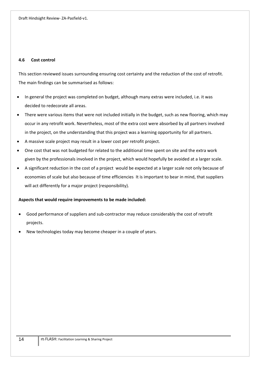#### **4.6 Cost control**

This section reviewed issues surrounding ensuring cost certainty and the reduction of the cost of retrofit. The main findings can be summarised as follows:

- In general the project was completed on budget, although many extras were included, i.e. it was decided to redecorate all areas.
- There were various items that were not included initially in the budget, such as new flooring, which may occur in any retrofit work. Nevertheless, most of the extra cost were absorbed by all partners involved in the project, on the understanding that this project was a learning opportunity for all partners.
- A massive scale project may result in a lower cost per retrofit project.
- One cost that was not budgeted for related to the additional time spent on site and the extra work given by the professionals involved in the project, which would hopefully be avoided at a larger scale.
- A significant reduction in the cost of a project would be expected at a larger scale not only because of economies of scale but also because of time efficiencies It is important to bear in mind, that suppliers will act differently for a major project (responsibility).

#### **Aspects that would require improvements to be made included:**

- Good performance of suppliers and sub‐contractor may reduce considerably the cost of retrofit projects.
- New technologies today may become cheaper in a couple of years.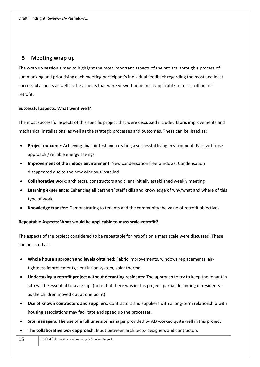## **5 Meeting wrap up**

The wrap up session aimed to highlight the most important aspects of the project, through a process of summarizing and prioritising each meeting participant's individual feedback regarding the most and least successful aspects as well as the aspects that were viewed to be most applicable to mass roll-out of retrofit.

#### **Successful aspects: What went well?**

The most successful aspects of this specific project that were discussed included fabric improvements and mechanical installations, as well as the strategic processes and outcomes. These can be listed as:

- **Project outcome**: Achieving final air test and creating a successful living environment. Passive house approach / reliable energy savings
- **Improvement of the indoor environment**: New condensation free windows. Condensation disappeared due to the new windows installed
- **Collaborative work**: architects, constructors and client initially established weekly meeting
- **Learning experience:** Enhancing all partners' staff skills and knowledge of why/what and where of this type of work.
- **Knowledge transfer:** Demonstrating to tenants and the community the value of retrofit objectives

### **Repeatable Aspects: What would be applicable to mass scale‐retrofit?**

The aspects of the project considered to be repeatable for retrofit on a mass scale were discussed. These can be listed as:

- **Whole house approach and levels obtained**: Fabric improvements, windows replacements, air‐ tightness improvements, ventilation system, solar thermal.
- **Undertaking a retrofit project without decanting residents**: The approach to try to keep the tenant in situ will be essential to scale–up. (note that there was in this project partial decanting of residents – as the children moved out at one point)
- **Use of known contractors and suppliers:** Contractors and suppliers with a long‐term relationship with housing associations may facilitate and speed up the processes.
- **Site managers:** The use of a full time site manager provided by AD worked quite well in this project
- **The collaborative work approach**: Input between architects‐ designers and contractors
- 15 IfS FLASH: Facilitation Learning & Sharing Project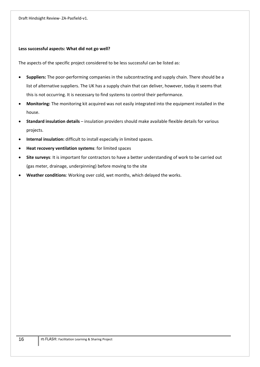#### **Less successful aspects: What did not go well?**

The aspects of the specific project considered to be less successful can be listed as:

- **Suppliers:** The poor‐performing companies in the subcontracting and supply chain. There should be a list of alternative suppliers. The UK has a supply chain that can deliver, however, today it seems that this is not occurring. It is necessary to find systems to control their performance.
- **Monitoring:** The monitoring kit acquired was not easily integrated into the equipment installed in the house.
- **Standard insulation details** insulation providers should make available flexible details for various projects.
- **Internal insulation:** difficult to install especially in limited spaces.
- **Heat recovery ventilation systems**: for limited spaces
- **Site surveys**: It is important for contractors to have a better understanding of work to be carried out (gas meter, drainage, underpinning) before moving to the site
- **Weather conditions**: Working over cold, wet months, which delayed the works.